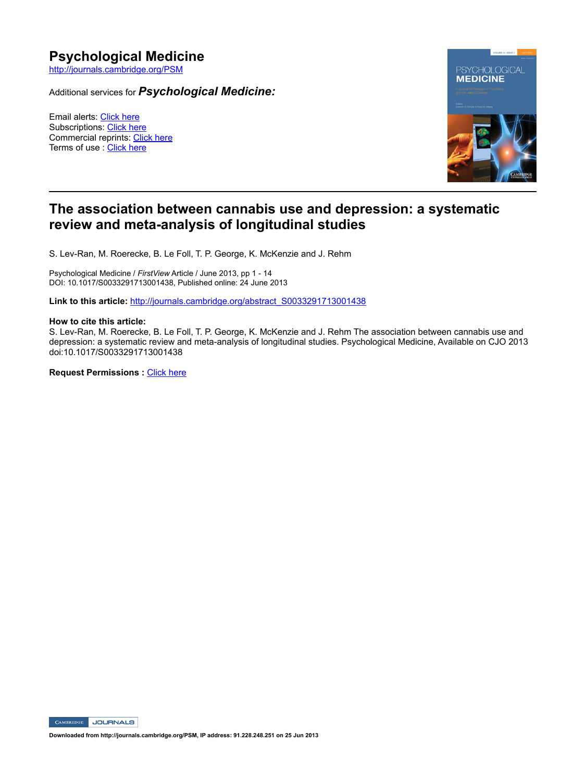# **Psychological Medicine**

http://journals.cambridge.org/PSM

Additional services for *Psychological Medicine:*

Email alerts: Click here Subscriptions: Click here Commercial reprints: Click here Terms of use : Click here



### **The association between cannabis use and depression: a systematic**  review and meta-analysis of longitudinal studies

S. Lev-Ran, M. Roerecke, B. Le Foll, T. P. George, K. McKenzie and J. Rehm

Psychological Medicine / FirstView Article / June 2013, pp 1 - 14 DOI: 10.1017/S0033291713001438, Published online: 24 June 2013

**Link to this article:** http://journals.cambridge.org/abstract\_S0033291713001438

#### **How to cite this article:**

S. Lev-Ran, M. Roerecke, B. Le Foll, T. P. George, K. McKenzie and J. Rehm The association between cannabis use and depression: a systematic review and meta-analysis of longitudinal studies. Psychological Medicine, Available on CJO 2013 doi:10.1017/S0033291713001438

**Request Permissions :** Click here

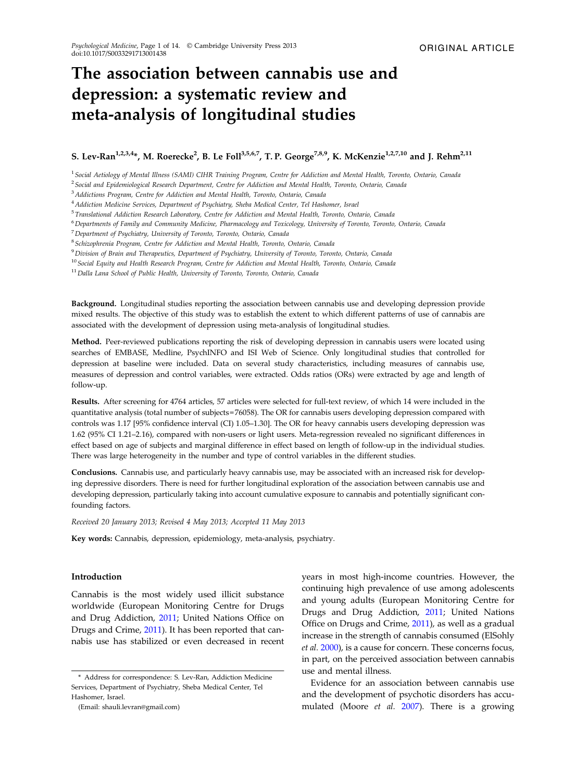# The association between cannabis use and depression: a systematic review and meta-analysis of longitudinal studies

### S. Lev-Ran $^{1,2,3,4*}$ , M. Roerecke<sup>2</sup>, B. Le Foll $^{3,5,6,7}$ , T. P. George $^{7,8,9}$ , K. McKenzie $^{1,2,7,10}$  and J. Rehm $^{2,11}$

<sup>1</sup> Social Aetiology of Mental Illness (SAMI) CIHR Training Program, Centre for Addiction and Mental Health, Toronto, Ontario, Canada

<sup>2</sup> Social and Epidemiological Research Department, Centre for Addiction and Mental Health, Toronto, Ontario, Canada

<sup>3</sup> Addictions Program, Centre for Addiction and Mental Health, Toronto, Ontario, Canada

<sup>4</sup> Addiction Medicine Services, Department of Psychiatry, Sheba Medical Center, Tel Hashomer, Israel

<sup>5</sup>Translational Addiction Research Laboratory, Centre for Addiction and Mental Health, Toronto, Ontario, Canada

<sup>6</sup>Departments of Family and Community Medicine, Pharmacology and Toxicology, University of Toronto, Toronto, Ontario, Canada

<sup>7</sup>Department of Psychiatry, University of Toronto, Toronto, Ontario, Canada

<sup>8</sup> Schizophrenia Program, Centre for Addiction and Mental Health, Toronto, Ontario, Canada

<sup>9</sup>Division of Brain and Therapeutics, Department of Psychiatry, University of Toronto, Toronto, Ontario, Canada

<sup>10</sup> Social Equity and Health Research Program, Centre for Addiction and Mental Health, Toronto, Ontario, Canada

<sup>11</sup> Dalla Lana School of Public Health, University of Toronto, Toronto, Ontario, Canada

Background. Longitudinal studies reporting the association between cannabis use and developing depression provide mixed results. The objective of this study was to establish the extent to which different patterns of use of cannabis are associated with the development of depression using meta-analysis of longitudinal studies.

Method. Peer-reviewed publications reporting the risk of developing depression in cannabis users were located using searches of EMBASE, Medline, PsychINFO and ISI Web of Science. Only longitudinal studies that controlled for depression at baseline were included. Data on several study characteristics, including measures of cannabis use, measures of depression and control variables, were extracted. Odds ratios (ORs) were extracted by age and length of follow-up.

Results. After screening for 4764 articles, 57 articles were selected for full-text review, of which 14 were included in the quantitative analysis (total number of subjects = 76058). The OR for cannabis users developing depression compared with controls was 1.17 [95% confidence interval (CI) 1.05–1.30]. The OR for heavy cannabis users developing depression was 1.62 (95% CI 1.21–2.16), compared with non-users or light users. Meta-regression revealed no significant differences in effect based on age of subjects and marginal difference in effect based on length of follow-up in the individual studies. There was large heterogeneity in the number and type of control variables in the different studies.

Conclusions. Cannabis use, and particularly heavy cannabis use, may be associated with an increased risk for developing depressive disorders. There is need for further longitudinal exploration of the association between cannabis use and developing depression, particularly taking into account cumulative exposure to cannabis and potentially significant confounding factors.

Received 20 January 2013; Revised 4 May 2013; Accepted 11 May 2013

Key words: Cannabis, depression, epidemiology, meta-analysis, psychiatry.

#### Introduction

Cannabis is the most widely used illicit substance worldwide (European Monitoring Centre for Drugs and Drug Addiction, [2011;](#page-13-0) United Nations Office on Drugs and Crime, [2011\)](#page-14-0). It has been reported that cannabis use has stabilized or even decreased in recent

(Email: shauli.levran@gmail.com)

years in most high-income countries. However, the continuing high prevalence of use among adolescents and young adults (European Monitoring Centre for Drugs and Drug Addiction, [2011](#page-13-0); United Nations Office on Drugs and Crime, [2011\)](#page-14-0), as well as a gradual increase in the strength of cannabis consumed (ElSohly et al. [2000\)](#page-13-0), is a cause for concern. These concerns focus, in part, on the perceived association between cannabis use and mental illness.

Evidence for an association between cannabis use and the development of psychotic disorders has accumulated (Moore et al. [2007\)](#page-13-0). There is a growing

<sup>\*</sup> Address for correspondence: S. Lev-Ran, Addiction Medicine Services, Department of Psychiatry, Sheba Medical Center, Tel Hashomer, Israel.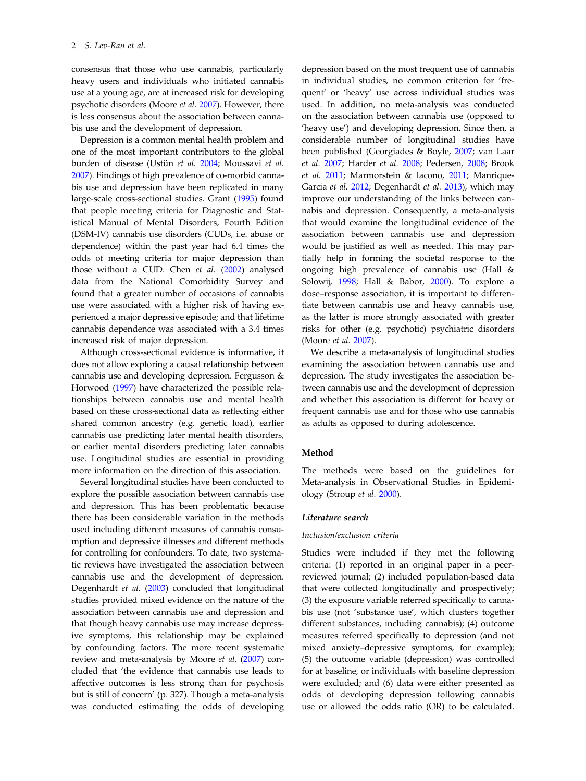consensus that those who use cannabis, particularly heavy users and individuals who initiated cannabis use at a young age, are at increased risk for developing psychotic disorders (Moore et al. [2007](#page-13-0)). However, there is less consensus about the association between cannabis use and the development of depression.

Depression is a common mental health problem and one of the most important contributors to the global burden of disease (Ustün et al. [2004](#page-14-0); Moussavi et al. [2007\)](#page-13-0). Findings of high prevalence of co-morbid cannabis use and depression have been replicated in many large-scale cross-sectional studies. Grant ([1995\)](#page-13-0) found that people meeting criteria for Diagnostic and Statistical Manual of Mental Disorders, Fourth Edition (DSM-IV) cannabis use disorders (CUDs, i.e. abuse or dependence) within the past year had 6.4 times the odds of meeting criteria for major depression than those without a CUD. Chen et al. ([2002](#page-12-0)) analysed data from the National Comorbidity Survey and found that a greater number of occasions of cannabis use were associated with a higher risk of having experienced a major depressive episode; and that lifetime cannabis dependence was associated with a 3.4 times increased risk of major depression.

Although cross-sectional evidence is informative, it does not allow exploring a causal relationship between cannabis use and developing depression. Fergusson & Horwood [\(1997](#page-13-0)) have characterized the possible relationships between cannabis use and mental health based on these cross-sectional data as reflecting either shared common ancestry (e.g. genetic load), earlier cannabis use predicting later mental health disorders, or earlier mental disorders predicting later cannabis use. Longitudinal studies are essential in providing more information on the direction of this association.

Several longitudinal studies have been conducted to explore the possible association between cannabis use and depression. This has been problematic because there has been considerable variation in the methods used including different measures of cannabis consumption and depressive illnesses and different methods for controlling for confounders. To date, two systematic reviews have investigated the association between cannabis use and the development of depression. Degenhardt et al. [\(2003](#page-12-0)) concluded that longitudinal studies provided mixed evidence on the nature of the association between cannabis use and depression and that though heavy cannabis use may increase depressive symptoms, this relationship may be explained by confounding factors. The more recent systematic review and meta-analysis by Moore et al. [\(2007](#page-13-0)) concluded that 'the evidence that cannabis use leads to affective outcomes is less strong than for psychosis but is still of concern' (p. 327). Though a meta-analysis was conducted estimating the odds of developing

depression based on the most frequent use of cannabis in individual studies, no common criterion for 'frequent' or 'heavy' use across individual studies was used. In addition, no meta-analysis was conducted on the association between cannabis use (opposed to 'heavy use') and developing depression. Since then, a considerable number of longitudinal studies have been published (Georgiades & Boyle, [2007](#page-13-0); van Laar et al. [2007](#page-14-0); Harder et al. [2008;](#page-13-0) Pedersen, [2008;](#page-14-0) Brook et al. [2011;](#page-12-0) Marmorstein & Iacono, [2011](#page-13-0); Manrique-Garcia et al. [2012;](#page-13-0) Degenhardt et al. [2013\)](#page-12-0), which may improve our understanding of the links between cannabis and depression. Consequently, a meta-analysis that would examine the longitudinal evidence of the association between cannabis use and depression would be justified as well as needed. This may partially help in forming the societal response to the ongoing high prevalence of cannabis use (Hall & Solowij, [1998;](#page-13-0) Hall & Babor, [2000\)](#page-13-0). To explore a dose–response association, it is important to differentiate between cannabis use and heavy cannabis use, as the latter is more strongly associated with greater risks for other (e.g. psychotic) psychiatric disorders (Moore et al. [2007](#page-13-0)).

We describe a meta-analysis of longitudinal studies examining the association between cannabis use and depression. The study investigates the association between cannabis use and the development of depression and whether this association is different for heavy or frequent cannabis use and for those who use cannabis as adults as opposed to during adolescence.

#### Method

The methods were based on the guidelines for Meta-analysis in Observational Studies in Epidemiology (Stroup et al. [2000](#page-14-0)).

#### Inclusion/exclusion criteria

Studies were included if they met the following criteria: (1) reported in an original paper in a peerreviewed journal; (2) included population-based data that were collected longitudinally and prospectively; (3) the exposure variable referred specifically to cannabis use (not 'substance use', which clusters together different substances, including cannabis); (4) outcome measures referred specifically to depression (and not mixed anxiety–depressive symptoms, for example); (5) the outcome variable (depression) was controlled for at baseline, or individuals with baseline depression were excluded; and (6) data were either presented as odds of developing depression following cannabis use or allowed the odds ratio (OR) to be calculated.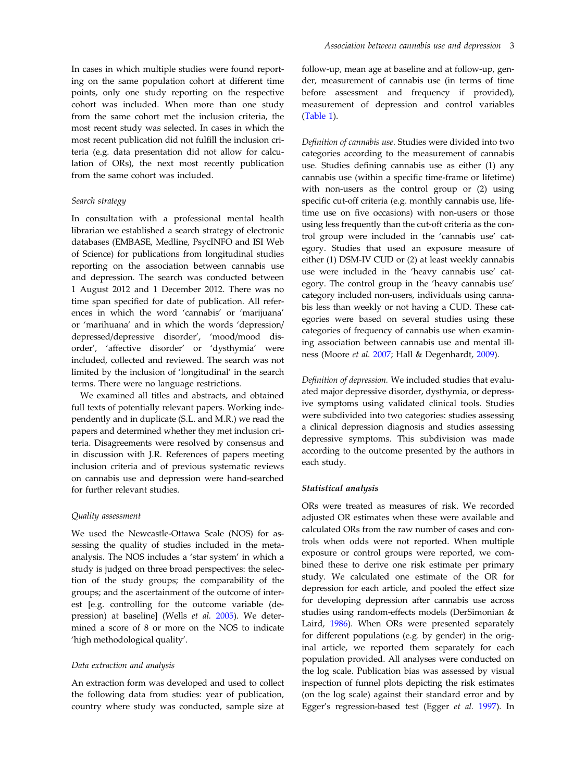In cases in which multiple studies were found reporting on the same population cohort at different time points, only one study reporting on the respective cohort was included. When more than one study from the same cohort met the inclusion criteria, the most recent study was selected. In cases in which the most recent publication did not fulfill the inclusion criteria (e.g. data presentation did not allow for calculation of ORs), the next most recently publication from the same cohort was included.

#### Search strategy

In consultation with a professional mental health librarian we established a search strategy of electronic databases (EMBASE, Medline, PsycINFO and ISI Web of Science) for publications from longitudinal studies reporting on the association between cannabis use and depression. The search was conducted between 1 August 2012 and 1 December 2012. There was no time span specified for date of publication. All references in which the word 'cannabis' or 'marijuana' or 'marihuana' and in which the words 'depression/ depressed/depressive disorder', 'mood/mood disorder', 'affective disorder' or 'dysthymia' were included, collected and reviewed. The search was not limited by the inclusion of 'longitudinal' in the search terms. There were no language restrictions.

We examined all titles and abstracts, and obtained full texts of potentially relevant papers. Working independently and in duplicate (S.L. and M.R.) we read the papers and determined whether they met inclusion criteria. Disagreements were resolved by consensus and in discussion with J.R. References of papers meeting inclusion criteria and of previous systematic reviews on cannabis use and depression were hand-searched for further relevant studies.

#### Quality assessment

We used the Newcastle-Ottawa Scale (NOS) for assessing the quality of studies included in the metaanalysis. The NOS includes a 'star system' in which a study is judged on three broad perspectives: the selection of the study groups; the comparability of the groups; and the ascertainment of the outcome of interest [e.g. controlling for the outcome variable (depression) at baseline] (Wells et al. [2005](#page-14-0)). We determined a score of 8 or more on the NOS to indicate 'high methodological quality'.

#### Data extraction and analysis

An extraction form was developed and used to collect the following data from studies: year of publication, country where study was conducted, sample size at

follow-up, mean age at baseline and at follow-up, gender, measurement of cannabis use (in terms of time before assessment and frequency if provided), measurement of depression and control variables ([Table 1\)](#page-6-0).

Definition of cannabis use. Studies were divided into two categories according to the measurement of cannabis use. Studies defining cannabis use as either (1) any cannabis use (within a specific time-frame or lifetime) with non-users as the control group or (2) using specific cut-off criteria (e.g. monthly cannabis use, lifetime use on five occasions) with non-users or those using less frequently than the cut-off criteria as the control group were included in the 'cannabis use' category. Studies that used an exposure measure of either (1) DSM-IV CUD or (2) at least weekly cannabis use were included in the 'heavy cannabis use' category. The control group in the 'heavy cannabis use' category included non-users, individuals using cannabis less than weekly or not having a CUD. These categories were based on several studies using these categories of frequency of cannabis use when examining association between cannabis use and mental illness (Moore et al. [2007](#page-13-0); Hall & Degenhardt, [2009](#page-13-0)).

Definition of depression. We included studies that evaluated major depressive disorder, dysthymia, or depressive symptoms using validated clinical tools. Studies were subdivided into two categories: studies assessing a clinical depression diagnosis and studies assessing depressive symptoms. This subdivision was made according to the outcome presented by the authors in each study.

#### Statistical analysis

ORs were treated as measures of risk. We recorded adjusted OR estimates when these were available and calculated ORs from the raw number of cases and controls when odds were not reported. When multiple exposure or control groups were reported, we combined these to derive one risk estimate per primary study. We calculated one estimate of the OR for depression for each article, and pooled the effect size for developing depression after cannabis use across studies using random-effects models (DerSimonian & Laird, [1986](#page-13-0)). When ORs were presented separately for different populations (e.g. by gender) in the original article, we reported them separately for each population provided. All analyses were conducted on the log scale. Publication bias was assessed by visual inspection of funnel plots depicting the risk estimates (on the log scale) against their standard error and by Egger's regression-based test (Egger et al. [1997](#page-13-0)). In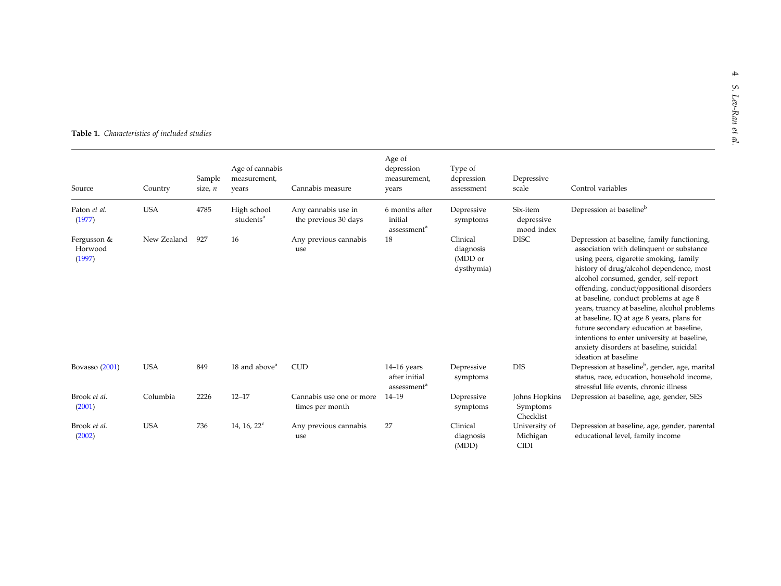#### **Table 1.** Characteristics of included studies

| Source                           | Country     | Sample<br>size, $n$ | Age of cannabis<br>measurement,<br>years | Cannabis measure                            | Age of<br>depression<br>measurement,<br>years             | Type of<br>depression<br>assessment            | Depressive<br>scale                      | Control variables                                                                                                                                                                                                                                                                                                                                                                                                                                                                                                                                                       |
|----------------------------------|-------------|---------------------|------------------------------------------|---------------------------------------------|-----------------------------------------------------------|------------------------------------------------|------------------------------------------|-------------------------------------------------------------------------------------------------------------------------------------------------------------------------------------------------------------------------------------------------------------------------------------------------------------------------------------------------------------------------------------------------------------------------------------------------------------------------------------------------------------------------------------------------------------------------|
| Paton et al.<br>(1977)           | <b>USA</b>  | 4785                | High school<br>students <sup>a</sup>     | Any cannabis use in<br>the previous 30 days | 6 months after<br>initial<br>assessment <sup>a</sup>      | Depressive<br>symptoms                         | Six-item<br>depressive<br>mood index     | Depression at baseline <sup>b</sup>                                                                                                                                                                                                                                                                                                                                                                                                                                                                                                                                     |
| Fergusson &<br>Horwood<br>(1997) | New Zealand | 927                 | 16                                       | Any previous cannabis<br>use                | 18                                                        | Clinical<br>diagnosis<br>(MDD or<br>dysthymia) | <b>DISC</b>                              | Depression at baseline, family functioning,<br>association with delinquent or substance<br>using peers, cigarette smoking, family<br>history of drug/alcohol dependence, most<br>alcohol consumed, gender, self-report<br>offending, conduct/oppositional disorders<br>at baseline, conduct problems at age 8<br>years, truancy at baseline, alcohol problems<br>at baseline, IQ at age 8 years, plans for<br>future secondary education at baseline,<br>intentions to enter university at baseline,<br>anxiety disorders at baseline, suicidal<br>ideation at baseline |
| Bovasso (2001)                   | <b>USA</b>  | 849                 | 18 and above <sup>a</sup>                | <b>CUD</b>                                  | $14-16$ years<br>after initial<br>assessment <sup>a</sup> | Depressive<br>symptoms                         | <b>DIS</b>                               | Depression at baseline <sup>b</sup> , gender, age, marital<br>status, race, education, household income,<br>stressful life events, chronic illness                                                                                                                                                                                                                                                                                                                                                                                                                      |
| Brook et al.<br>(2001)           | Columbia    | 2226                | $12 - 17$                                | Cannabis use one or more<br>times per month | $14 - 19$                                                 | Depressive<br>symptoms                         | Johns Hopkins<br>Symptoms<br>Checklist   | Depression at baseline, age, gender, SES                                                                                                                                                                                                                                                                                                                                                                                                                                                                                                                                |
| Brook et al.<br>(2002)           | <b>USA</b>  | 736                 | 14, 16, $22^{\circ}$                     | Any previous cannabis<br>use                | 27                                                        | Clinical<br>diagnosis<br>(MDD)                 | University of<br>Michigan<br><b>CIDI</b> | Depression at baseline, age, gender, parental<br>educational level, family income                                                                                                                                                                                                                                                                                                                                                                                                                                                                                       |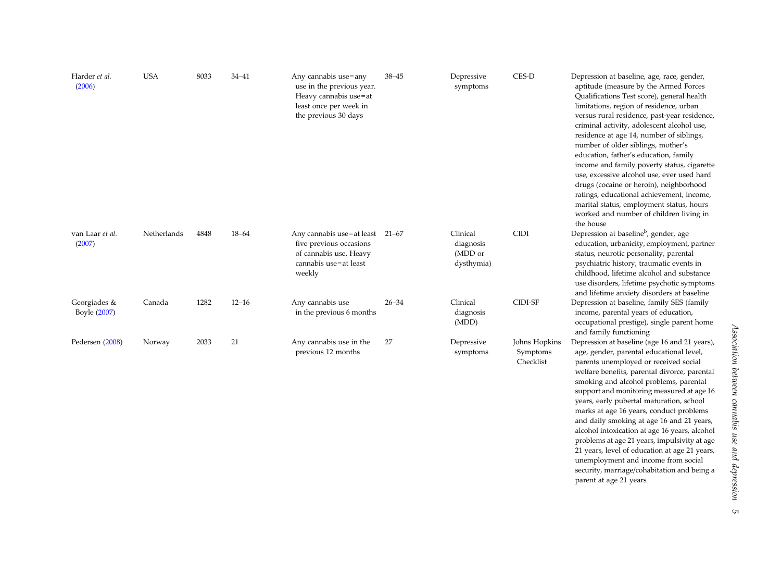| Harder et al.<br>(2006)      | <b>USA</b>  | 8033 | $34 - 41$ | Any cannabis use=any<br>use in the previous year.<br>Heavy cannabis use=at<br>least once per week in<br>the previous 30 days | $38 - 45$ | Depressive<br>symptoms                         | CES-D                                  | Depression at baseline, age, race, gender,<br>aptitude (measure by the Armed Forces<br>Qualifications Test score), general health<br>limitations, region of residence, urban<br>versus rural residence, past-year residence,<br>criminal activity, adolescent alcohol use,<br>residence at age 14, number of siblings,<br>number of older siblings, mother's<br>education, father's education, family<br>income and family poverty status, cigarette<br>use, excessive alcohol use, ever used hard<br>drugs (cocaine or heroin), neighborhood<br>ratings, educational achievement, income,<br>marital status, employment status, hours<br>worked and number of children living in<br>the house |
|------------------------------|-------------|------|-----------|------------------------------------------------------------------------------------------------------------------------------|-----------|------------------------------------------------|----------------------------------------|------------------------------------------------------------------------------------------------------------------------------------------------------------------------------------------------------------------------------------------------------------------------------------------------------------------------------------------------------------------------------------------------------------------------------------------------------------------------------------------------------------------------------------------------------------------------------------------------------------------------------------------------------------------------------------------------|
| van Laar et al.<br>(2007)    | Netherlands | 4848 | $18 - 64$ | Any cannabis use=at least 21-67<br>five previous occasions<br>of cannabis use. Heavy<br>cannabis use=at least<br>weekly      |           | Clinical<br>diagnosis<br>(MDD or<br>dysthymia) | <b>CIDI</b>                            | Depression at baseline <sup>b</sup> , gender, age<br>education, urbanicity, employment, partner<br>status, neurotic personality, parental<br>psychiatric history, traumatic events in<br>childhood, lifetime alcohol and substance<br>use disorders, lifetime psychotic symptoms<br>and lifetime anxiety disorders at baseline                                                                                                                                                                                                                                                                                                                                                                 |
| Georgiades &<br>Boyle (2007) | Canada      | 1282 | $12 - 16$ | Any cannabis use<br>in the previous 6 months                                                                                 | $26 - 34$ | Clinical<br>diagnosis<br>(MDD)                 | CIDI-SF                                | Depression at baseline, family SES (family<br>income, parental years of education,<br>occupational prestige), single parent home<br>and family functioning                                                                                                                                                                                                                                                                                                                                                                                                                                                                                                                                     |
| Pedersen (2008)              | Norway      | 2033 | 21        | Any cannabis use in the<br>previous 12 months                                                                                | 27        | Depressive<br>symptoms                         | Johns Hopkins<br>Symptoms<br>Checklist | Depression at baseline (age 16 and 21 years),<br>age, gender, parental educational level,<br>parents unemployed or received social<br>welfare benefits, parental divorce, parental                                                                                                                                                                                                                                                                                                                                                                                                                                                                                                             |

smoking and alcohol problems, parental suppor<sup>t</sup> and monitoring measured at age 16 years, early pubertal maturation, school marks at age 16 years, conduct problems and daily smoking at age 16 and <sup>21</sup> years, alcohol intoxication at age 16 years, alcohol problems at age <sup>21</sup> years, impulsivity at age <sup>21</sup> years, level of education at age <sup>21</sup> years, unemployment and income from social security, marriage/cohabitation and being <sup>a</sup>

paren<sup>t</sup> at age 21 years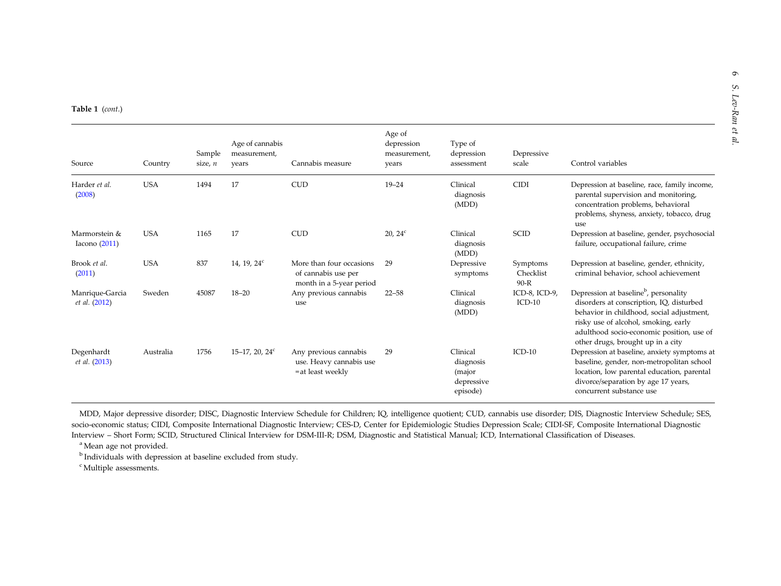#### <span id="page-6-0"></span>Table 1 (cont.)

| Source                                  | Country    | Sample<br>size, n | Age of cannabis<br>measurement,<br>years | Cannabis measure                                                            | Age of<br>depression<br>measurement,<br>years | Type of<br>depression<br>assessment                       | Depressive<br>scale             | Control variables                                                                                                                                                                                                                                                    |
|-----------------------------------------|------------|-------------------|------------------------------------------|-----------------------------------------------------------------------------|-----------------------------------------------|-----------------------------------------------------------|---------------------------------|----------------------------------------------------------------------------------------------------------------------------------------------------------------------------------------------------------------------------------------------------------------------|
| Harder et al.<br>(2008)                 | <b>USA</b> | 1494              | 17                                       | <b>CUD</b>                                                                  | $19 - 24$                                     | Clinical<br>diagnosis<br>(MDD)                            | <b>CIDI</b>                     | Depression at baseline, race, family income,<br>parental supervision and monitoring,<br>concentration problems, behavioral<br>problems, shyness, anxiety, tobacco, drug<br>use                                                                                       |
| Marmorstein &<br>Iacono $(2011)$        | <b>USA</b> | 1165              | 17                                       | <b>CUD</b>                                                                  | $20, 24^{\circ}$                              | Clinical<br>diagnosis<br>(MDD)                            | <b>SCID</b>                     | Depression at baseline, gender, psychosocial<br>failure, occupational failure, crime                                                                                                                                                                                 |
| Brook et al.<br>(2011)                  | <b>USA</b> | 837               | 14, 19, $24^{\circ}$                     | More than four occasions<br>of cannabis use per<br>month in a 5-year period | 29                                            | Depressive<br>symptoms                                    | Symptoms<br>Checklist<br>$90-R$ | Depression at baseline, gender, ethnicity,<br>criminal behavior, school achievement                                                                                                                                                                                  |
| Manrique-Garcia<br><i>et al.</i> (2012) | Sweden     | 45087             | $18 - 20$                                | Any previous cannabis<br>use                                                | $22 - 58$                                     | Clinical<br>diagnosis<br>(MDD)                            | ICD-8, ICD-9,<br>$ICD-10$       | Depression at baseline <sup>b</sup> , personality<br>disorders at conscription, IQ, disturbed<br>behavior in childhood, social adjustment,<br>risky use of alcohol, smoking, early<br>adulthood socio-economic position, use of<br>other drugs, brought up in a city |
| Degenhardt<br><i>et al.</i> (2013)      | Australia  | 1756              | $15-17$ , 20, $24^{\circ}$               | Any previous cannabis<br>use. Heavy cannabis use<br>= at least weekly       | 29                                            | Clinical<br>diagnosis<br>(major<br>depressive<br>episode) | $ICD-10$                        | Depression at baseline, anxiety symptoms at<br>baseline, gender, non-metropolitan school<br>location, low parental education, parental<br>divorce/separation by age 17 years,<br>concurrent substance use                                                            |

MDD, Major depressive disorder; DISC, Diagnostic Interview Schedule for Children; IQ, intelligence quotient; CUD, cannabis use disorder; DIS, Diagnostic Interview Schedule; SES, socio-economic status; CIDI, Composite International Diagnostic Interview; CES-D, Center for Epidemiologic Studies Depression Scale; CIDI-SF, Composite International Diagnostic Interview – Short Form; SCID, Structured Clinical Interview for DSM-III-R; DSM, Diagnostic and Statistical Manual; ICD, International Classification of Diseases.

<sup>a</sup> Mean age not provided.

<sup>b</sup> Individuals with depression at baseline excluded from study.

<sup>c</sup>Multiple assessments.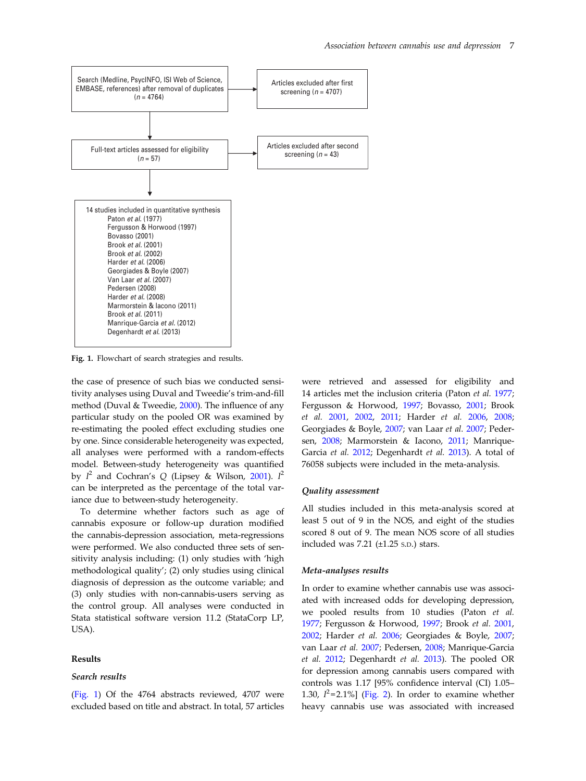

Fig. 1. Flowchart of search strategies and results.

the case of presence of such bias we conducted sensitivity analyses using Duval and Tweedie's trim-and-fill method (Duval & Tweedie, [2000\)](#page-13-0). The influence of any particular study on the pooled OR was examined by re-estimating the pooled effect excluding studies one by one. Since considerable heterogeneity was expected, all analyses were performed with a random-effects model. Between-study heterogeneity was quantified by  $I^2$  and Cochran's Q (Lipsey & Wilson, [2001](#page-13-0)).  $I^2$ can be interpreted as the percentage of the total variance due to between-study heterogeneity.

To determine whether factors such as age of cannabis exposure or follow-up duration modified the cannabis-depression association, meta-regressions were performed. We also conducted three sets of sensitivity analysis including: (1) only studies with 'high methodological quality'; (2) only studies using clinical diagnosis of depression as the outcome variable; and (3) only studies with non-cannabis-users serving as the control group. All analyses were conducted in Stata statistical software version 11.2 (StataCorp LP, USA).

#### Results

## Search results

(Fig. 1) Of the 4764 abstracts reviewed, 4707 were excluded based on title and abstract. In total, 57 articles

were retrieved and assessed for eligibility and 14 articles met the inclusion criteria (Paton et al. [1977](#page-13-0); Fergusson & Horwood, [1997](#page-13-0); Bovasso, [2001;](#page-12-0) Brook et al. [2001](#page-12-0), [2002,](#page-12-0) [2011](#page-12-0); Harder et al. [2006,](#page-13-0) [2008](#page-13-0); Georgiades & Boyle, [2007](#page-13-0); van Laar et al. [2007;](#page-14-0) Pedersen, [2008](#page-14-0); Marmorstein & Iacono, [2011](#page-13-0); Manrique-Garcia et al. [2012;](#page-13-0) Degenhardt et al. [2013\)](#page-12-0). A total of 76058 subjects were included in the meta-analysis.

#### Quality assessment

All studies included in this meta-analysis scored at least 5 out of 9 in the NOS, and eight of the studies scored 8 out of 9. The mean NOS score of all studies included was  $7.21$  ( $\pm$ 1.25 s.p.) stars.

#### Meta-analyses results

In order to examine whether cannabis use was associated with increased odds for developing depression, we pooled results from 10 studies (Paton et al. [1977;](#page-13-0) Fergusson & Horwood, [1997](#page-13-0); Brook et al. [2001](#page-12-0), [2002;](#page-12-0) Harder et al. [2006](#page-13-0); Georgiades & Boyle, [2007](#page-13-0); van Laar et al. [2007](#page-14-0); Pedersen, [2008;](#page-14-0) Manrique-Garcia et al. [2012;](#page-13-0) Degenhardt et al. [2013\)](#page-12-0). The pooled OR for depression among cannabis users compared with controls was 1.17 [95% confidence interval (CI) 1.05– 1.30,  $I^2$ =2.1%] [\(Fig. 2\)](#page-8-0). In order to examine whether heavy cannabis use was associated with increased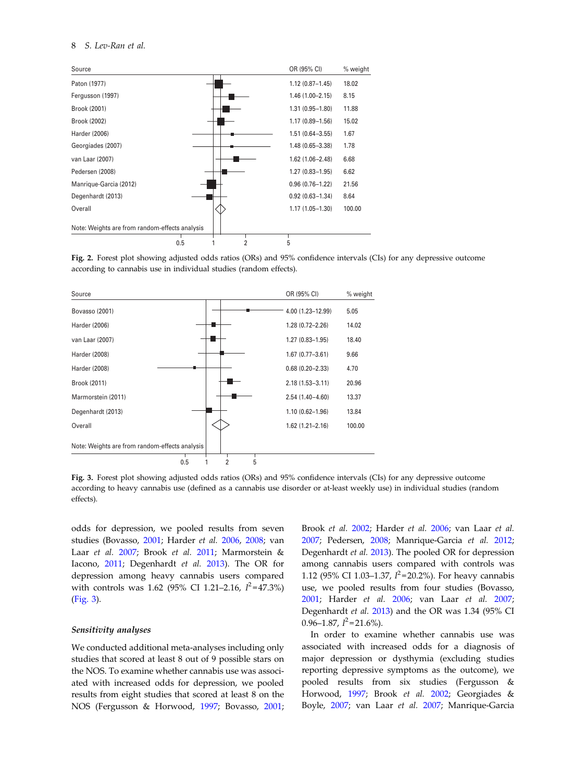#### <span id="page-8-0"></span>8 S. Lev-Ran et al.



Fig. 2. Forest plot showing adjusted odds ratios (ORs) and 95% confidence intervals (CIs) for any depressive outcome according to cannabis use in individual studies (random effects).



Fig. 3. Forest plot showing adjusted odds ratios (ORs) and 95% confidence intervals (CIs) for any depressive outcome according to heavy cannabis use (defined as a cannabis use disorder or at-least weekly use) in individual studies (random effects).

odds for depression, we pooled results from seven studies (Bovasso, [2001;](#page-12-0) Harder et al. [2006](#page-13-0), [2008;](#page-13-0) van Laar et al. [2007;](#page-14-0) Brook et al. [2011](#page-12-0); Marmorstein & Iacono, [2011](#page-13-0); Degenhardt et al. [2013](#page-12-0)). The OR for depression among heavy cannabis users compared with controls was 1.62 (95% CI 1.21-2.16,  $I^2 = 47.3\%$ ) (Fig. 3).

#### Sensitivity analyses

We conducted additional meta-analyses including only studies that scored at least 8 out of 9 possible stars on the NOS. To examine whether cannabis use was associated with increased odds for depression, we pooled results from eight studies that scored at least 8 on the NOS (Fergusson & Horwood, [1997](#page-13-0); Bovasso, [2001](#page-12-0);

Brook et al. [2002;](#page-12-0) Harder et al. [2006](#page-13-0); van Laar et al. [2007;](#page-14-0) Pedersen, [2008;](#page-14-0) Manrique-Garcia et al. [2012](#page-13-0); Degenhardt et al. [2013\)](#page-12-0). The pooled OR for depression among cannabis users compared with controls was 1.12 (95% CI 1.03-1.37,  $I^2 = 20.2\%$ ). For heavy cannabis use, we pooled results from four studies (Bovasso, [2001;](#page-12-0) Harder et al. [2006;](#page-13-0) van Laar et al. [2007](#page-14-0); Degenhardt et al. [2013](#page-12-0)) and the OR was 1.34 (95% CI 0.96–1.87,  $I^2$ =21.6%).

In order to examine whether cannabis use was associated with increased odds for a diagnosis of major depression or dysthymia (excluding studies reporting depressive symptoms as the outcome), we pooled results from six studies (Fergusson & Horwood, [1997;](#page-13-0) Brook et al. [2002;](#page-12-0) Georgiades & Boyle, [2007](#page-13-0); van Laar et al. [2007;](#page-14-0) Manrique-Garcia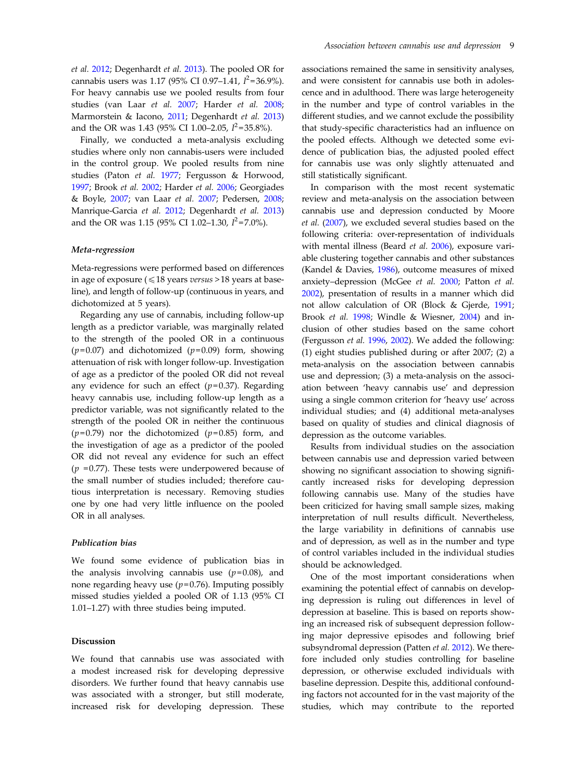et al. [2012;](#page-13-0) Degenhardt et al. [2013](#page-12-0)). The pooled OR for cannabis users was 1.17 (95% CI 0.97-1.41,  $l^2 = 36.9\%$ ). For heavy cannabis use we pooled results from four studies (van Laar et al. [2007;](#page-14-0) Harder et al. [2008](#page-13-0); Marmorstein & Iacono, [2011](#page-13-0); Degenhardt et al. [2013\)](#page-12-0) and the OR was 1.43 (95% CI 1.00–2.05,  $l^2$ =35.8%).

Finally, we conducted a meta-analysis excluding studies where only non cannabis-users were included in the control group. We pooled results from nine studies (Paton et al. [1977](#page-13-0); Fergusson & Horwood, [1997;](#page-13-0) Brook et al. [2002](#page-12-0); Harder et al. [2006](#page-13-0); Georgiades & Boyle, [2007](#page-13-0); van Laar et al. [2007;](#page-14-0) Pedersen, [2008](#page-14-0); Manrique-Garcia et al. [2012;](#page-13-0) Degenhardt et al. [2013\)](#page-12-0) and the OR was 1.15 (95% CI 1.02–1.30,  $I^2 = 7.0\%$ ).

#### Meta-regression

Meta-regressions were performed based on differences in age of exposure  $(\leq 18$  years *versus* > 18 years at baseline), and length of follow-up (continuous in years, and dichotomized at 5 years).

Regarding any use of cannabis, including follow-up length as a predictor variable, was marginally related to the strength of the pooled OR in a continuous  $(p= 0.07)$  and dichotomized  $(p= 0.09)$  form, showing attenuation of risk with longer follow-up. Investigation of age as a predictor of the pooled OR did not reveal any evidence for such an effect  $(p= 0.37)$ . Regarding heavy cannabis use, including follow-up length as a predictor variable, was not significantly related to the strength of the pooled OR in neither the continuous  $(p= 0.79)$  nor the dichotomized  $(p= 0.85)$  form, and the investigation of age as a predictor of the pooled OR did not reveal any evidence for such an effect ( $p = 0.77$ ). These tests were underpowered because of the small number of studies included; therefore cautious interpretation is necessary. Removing studies one by one had very little influence on the pooled OR in all analyses.

#### Publication bias

We found some evidence of publication bias in the analysis involving cannabis use  $(p=0.08)$ , and none regarding heavy use  $(p= 0.76)$ . Imputing possibly missed studies yielded a pooled OR of 1.13 (95% CI 1.01–1.27) with three studies being imputed.

#### Discussion

We found that cannabis use was associated with a modest increased risk for developing depressive disorders. We further found that heavy cannabis use was associated with a stronger, but still moderate, increased risk for developing depression. These

associations remained the same in sensitivity analyses, and were consistent for cannabis use both in adolescence and in adulthood. There was large heterogeneity in the number and type of control variables in the different studies, and we cannot exclude the possibility that study-specific characteristics had an influence on the pooled effects. Although we detected some evidence of publication bias, the adjusted pooled effect for cannabis use was only slightly attenuated and still statistically significant.

In comparison with the most recent systematic review and meta-analysis on the association between cannabis use and depression conducted by Moore et al. ([2007\)](#page-13-0), we excluded several studies based on the following criteria: over-representation of individuals with mental illness (Beard et al. [2006](#page-12-0)), exposure variable clustering together cannabis and other substances (Kandel & Davies, [1986](#page-13-0)), outcome measures of mixed anxiety–depression (McGee et al. [2000](#page-13-0); Patton et al. [2002\)](#page-14-0), presentation of results in a manner which did not allow calculation of OR (Block & Gjerde, [1991](#page-12-0); Brook et al. [1998;](#page-12-0) Windle & Wiesner, [2004](#page-14-0)) and inclusion of other studies based on the same cohort (Fergusson et al. [1996,](#page-13-0) [2002](#page-13-0)). We added the following: (1) eight studies published during or after 2007; (2) a meta-analysis on the association between cannabis use and depression; (3) a meta-analysis on the association between 'heavy cannabis use' and depression using a single common criterion for 'heavy use' across individual studies; and (4) additional meta-analyses based on quality of studies and clinical diagnosis of depression as the outcome variables.

Results from individual studies on the association between cannabis use and depression varied between showing no significant association to showing significantly increased risks for developing depression following cannabis use. Many of the studies have been criticized for having small sample sizes, making interpretation of null results difficult. Nevertheless, the large variability in definitions of cannabis use and of depression, as well as in the number and type of control variables included in the individual studies should be acknowledged.

One of the most important considerations when examining the potential effect of cannabis on developing depression is ruling out differences in level of depression at baseline. This is based on reports showing an increased risk of subsequent depression following major depressive episodes and following brief subsyndromal depression (Patten et al. [2012](#page-13-0)). We therefore included only studies controlling for baseline depression, or otherwise excluded individuals with baseline depression. Despite this, additional confounding factors not accounted for in the vast majority of the studies, which may contribute to the reported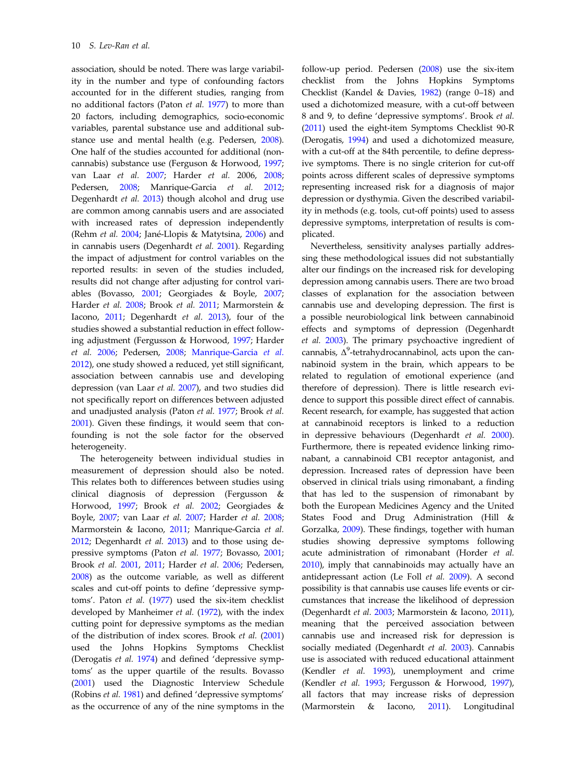association, should be noted. There was large variability in the number and type of confounding factors accounted for in the different studies, ranging from no additional factors (Paton et al. [1977](#page-13-0)) to more than 20 factors, including demographics, socio-economic variables, parental substance use and additional substance use and mental health (e.g. Pedersen, [2008](#page-14-0)). One half of the studies accounted for additional (noncannabis) substance use (Ferguson & Horwood, [1997](#page-13-0); van Laar et al. [2007;](#page-14-0) Harder et al. 2006, [2008](#page-13-0); Pedersen, [2008;](#page-14-0) Manrique-Garcia et al. [2012](#page-13-0); Degenhardt et al. [2013](#page-12-0)) though alcohol and drug use are common among cannabis users and are associated with increased rates of depression independently (Rehm et al. [2004](#page-14-0); Jané-Llopis & Matytsina, [2006](#page-13-0)) and in cannabis users (Degenhardt et al. [2001\)](#page-12-0). Regarding the impact of adjustment for control variables on the reported results: in seven of the studies included, results did not change after adjusting for control variables (Bovasso, [2001;](#page-12-0) Georgiades & Boyle, [2007](#page-13-0); Harder et al. [2008;](#page-13-0) Brook et al. [2011](#page-12-0); Marmorstein & Iacono, [2011;](#page-13-0) Degenhardt et al. [2013\)](#page-12-0), four of the studies showed a substantial reduction in effect following adjustment (Fergusson & Horwood, [1997;](#page-13-0) Harder et al. [2006](#page-13-0); Pedersen, [2008;](#page-14-0) [Manrique-Garcia](#page-13-0) et al. [2012\)](#page-13-0), one study showed a reduced, yet still significant, association between cannabis use and developing depression (van Laar et al. [2007](#page-14-0)), and two studies did not specifically report on differences between adjusted and unadjusted analysis (Paton et al. [1977](#page-13-0); Brook et al. [2001\)](#page-12-0). Given these findings, it would seem that confounding is not the sole factor for the observed heterogeneity.

The heterogeneity between individual studies in measurement of depression should also be noted. This relates both to differences between studies using clinical diagnosis of depression (Fergusson & Horwood, [1997;](#page-13-0) Brook et al. [2002;](#page-12-0) Georgiades & Boyle, [2007;](#page-13-0) van Laar et al. [2007;](#page-14-0) Harder et al. [2008](#page-13-0); Marmorstein & Iacono, [2011;](#page-13-0) Manrique-Garcia et al. [2012;](#page-13-0) Degenhardt et al. [2013](#page-12-0)) and to those using depressive symptoms (Paton et al. [1977;](#page-13-0) Bovasso, [2001](#page-12-0); Brook et al. [2001,](#page-12-0) [2011](#page-12-0); Harder et al. [2006;](#page-13-0) Pedersen, [2008\)](#page-14-0) as the outcome variable, as well as different scales and cut-off points to define 'depressive symptoms'. Paton et al. [\(1977](#page-13-0)) used the six-item checklist developed by Manheimer et al. [\(1972](#page-13-0)), with the index cutting point for depressive symptoms as the median of the distribution of index scores. Brook et al. ([2001\)](#page-12-0) used the Johns Hopkins Symptoms Checklist (Derogatis et al. [1974](#page-12-0)) and defined 'depressive symptoms' as the upper quartile of the results. Bovasso ([2001\)](#page-12-0) used the Diagnostic Interview Schedule (Robins et al. [1981](#page-14-0)) and defined 'depressive symptoms' as the occurrence of any of the nine symptoms in the follow-up period. Pedersen [\(2008](#page-14-0)) use the six-item checklist from the Johns Hopkins Symptoms Checklist (Kandel & Davies, [1982\)](#page-13-0) (range 0–18) and used a dichotomized measure, with a cut-off between 8 and 9, to define 'depressive symptoms'. Brook et al. ([2011\)](#page-12-0) used the eight-item Symptoms Checklist 90-R (Derogatis, [1994\)](#page-12-0) and used a dichotomized measure, with a cut-off at the 84th percentile, to define depressive symptoms. There is no single criterion for cut-off points across different scales of depressive symptoms representing increased risk for a diagnosis of major depression or dysthymia. Given the described variability in methods (e.g. tools, cut-off points) used to assess depressive symptoms, interpretation of results is complicated.

Nevertheless, sensitivity analyses partially addressing these methodological issues did not substantially alter our findings on the increased risk for developing depression among cannabis users. There are two broad classes of explanation for the association between cannabis use and developing depression. The first is a possible neurobiological link between cannabinoid effects and symptoms of depression (Degenhardt et al. [2003\)](#page-12-0). The primary psychoactive ingredient of cannabis,  $\Delta^9$ -tetrahydrocannabinol, acts upon the cannabinoid system in the brain, which appears to be related to regulation of emotional experience (and therefore of depression). There is little research evidence to support this possible direct effect of cannabis. Recent research, for example, has suggested that action at cannabinoid receptors is linked to a reduction in depressive behaviours (Degenhardt et al. [2000](#page-12-0)). Furthermore, there is repeated evidence linking rimonabant, a cannabinoid CB1 receptor antagonist, and depression. Increased rates of depression have been observed in clinical trials using rimonabant, a finding that has led to the suspension of rimonabant by both the European Medicines Agency and the United States Food and Drug Administration (Hill & Gorzalka, [2009](#page-13-0)). These findings, together with human studies showing depressive symptoms following acute administration of rimonabant (Horder et al. [2010\)](#page-13-0), imply that cannabinoids may actually have an antidepressant action (Le Foll et al. [2009\)](#page-13-0). A second possibility is that cannabis use causes life events or circumstances that increase the likelihood of depression (Degenhardt et al. [2003;](#page-12-0) Marmorstein & Iacono, [2011](#page-13-0)), meaning that the perceived association between cannabis use and increased risk for depression is socially mediated (Degenhardt et al. [2003\)](#page-12-0). Cannabis use is associated with reduced educational attainment (Kendler et al. [1993\)](#page-13-0), unemployment and crime (Kendler et al. [1993](#page-13-0); Fergusson & Horwood, [1997](#page-13-0)), all factors that may increase risks of depression (Marmorstein & Iacono, [2011](#page-13-0)). Longitudinal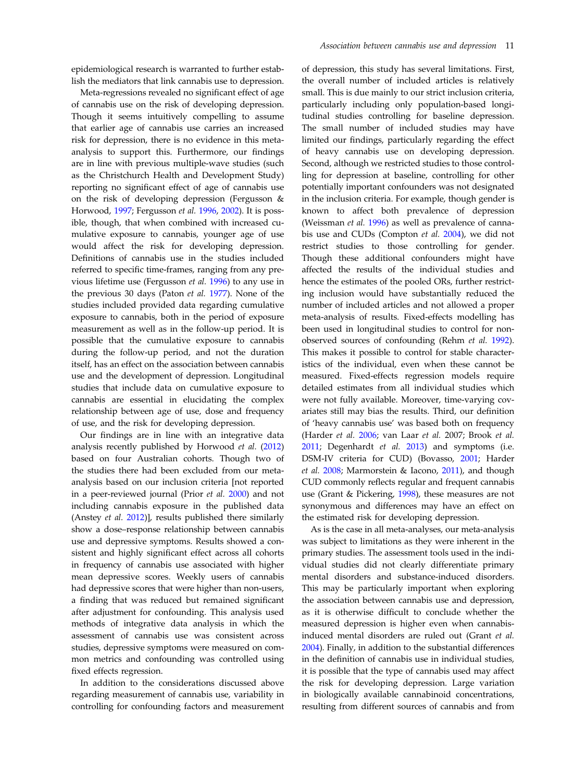epidemiological research is warranted to further establish the mediators that link cannabis use to depression.

Meta-regressions revealed no significant effect of age of cannabis use on the risk of developing depression. Though it seems intuitively compelling to assume that earlier age of cannabis use carries an increased risk for depression, there is no evidence in this metaanalysis to support this. Furthermore, our findings are in line with previous multiple-wave studies (such as the Christchurch Health and Development Study) reporting no significant effect of age of cannabis use on the risk of developing depression (Fergusson & Horwood, [1997;](#page-13-0) Fergusson et al. [1996,](#page-13-0) [2002\)](#page-13-0). It is possible, though, that when combined with increased cumulative exposure to cannabis, younger age of use would affect the risk for developing depression. Definitions of cannabis use in the studies included referred to specific time-frames, ranging from any previous lifetime use (Fergusson et al. [1996\)](#page-13-0) to any use in the previous 30 days (Paton et al. [1977\)](#page-13-0). None of the studies included provided data regarding cumulative exposure to cannabis, both in the period of exposure measurement as well as in the follow-up period. It is possible that the cumulative exposure to cannabis during the follow-up period, and not the duration itself, has an effect on the association between cannabis use and the development of depression. Longitudinal studies that include data on cumulative exposure to cannabis are essential in elucidating the complex relationship between age of use, dose and frequency of use, and the risk for developing depression.

Our findings are in line with an integrative data analysis recently published by Horwood et al. ([2012\)](#page-13-0) based on four Australian cohorts. Though two of the studies there had been excluded from our metaanalysis based on our inclusion criteria [not reported in a peer-reviewed journal (Prior et al. [2000](#page-14-0)) and not including cannabis exposure in the published data (Anstey et al. [2012\)](#page-12-0)], results published there similarly show a dose–response relationship between cannabis use and depressive symptoms. Results showed a consistent and highly significant effect across all cohorts in frequency of cannabis use associated with higher mean depressive scores. Weekly users of cannabis had depressive scores that were higher than non-users, a finding that was reduced but remained significant after adjustment for confounding. This analysis used methods of integrative data analysis in which the assessment of cannabis use was consistent across studies, depressive symptoms were measured on common metrics and confounding was controlled using fixed effects regression.

In addition to the considerations discussed above regarding measurement of cannabis use, variability in controlling for confounding factors and measurement of depression, this study has several limitations. First, the overall number of included articles is relatively small. This is due mainly to our strict inclusion criteria, particularly including only population-based longitudinal studies controlling for baseline depression. The small number of included studies may have limited our findings, particularly regarding the effect of heavy cannabis use on developing depression. Second, although we restricted studies to those controlling for depression at baseline, controlling for other potentially important confounders was not designated in the inclusion criteria. For example, though gender is known to affect both prevalence of depression (Weissman et al. [1996](#page-14-0)) as well as prevalence of cannabis use and CUDs (Compton et al. [2004\)](#page-12-0), we did not restrict studies to those controlling for gender. Though these additional confounders might have affected the results of the individual studies and hence the estimates of the pooled ORs, further restricting inclusion would have substantially reduced the number of included articles and not allowed a proper meta-analysis of results. Fixed-effects modelling has been used in longitudinal studies to control for nonobserved sources of confounding (Rehm et al. [1992](#page-14-0)). This makes it possible to control for stable characteristics of the individual, even when these cannot be measured. Fixed-effects regression models require detailed estimates from all individual studies which were not fully available. Moreover, time-varying covariates still may bias the results. Third, our definition of 'heavy cannabis use' was based both on frequency (Harder et al. [2006;](#page-13-0) van Laar et al. 2007; Brook et al. [2011;](#page-12-0) Degenhardt et al. [2013](#page-12-0)) and symptoms (i.e. DSM-IV criteria for CUD) (Bovasso, [2001;](#page-12-0) Harder et al. [2008;](#page-13-0) Marmorstein & Iacono, [2011](#page-13-0)), and though CUD commonly reflects regular and frequent cannabis use (Grant & Pickering, [1998](#page-13-0)), these measures are not synonymous and differences may have an effect on the estimated risk for developing depression.

As is the case in all meta-analyses, our meta-analysis was subject to limitations as they were inherent in the primary studies. The assessment tools used in the individual studies did not clearly differentiate primary mental disorders and substance-induced disorders. This may be particularly important when exploring the association between cannabis use and depression, as it is otherwise difficult to conclude whether the measured depression is higher even when cannabisinduced mental disorders are ruled out (Grant et al. [2004\)](#page-13-0). Finally, in addition to the substantial differences in the definition of cannabis use in individual studies, it is possible that the type of cannabis used may affect the risk for developing depression. Large variation in biologically available cannabinoid concentrations, resulting from different sources of cannabis and from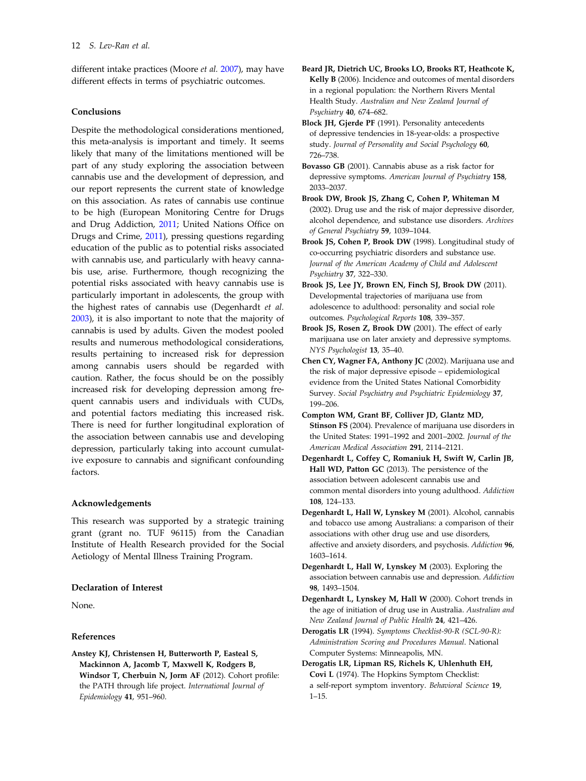<span id="page-12-0"></span>different intake practices (Moore et al. [2007](#page-13-0)), may have different effects in terms of psychiatric outcomes.

#### **Conclusions**

Despite the methodological considerations mentioned, this meta-analysis is important and timely. It seems likely that many of the limitations mentioned will be part of any study exploring the association between cannabis use and the development of depression, and our report represents the current state of knowledge on this association. As rates of cannabis use continue to be high (European Monitoring Centre for Drugs and Drug Addiction, [2011;](#page-13-0) United Nations Office on Drugs and Crime, [2011\)](#page-14-0), pressing questions regarding education of the public as to potential risks associated with cannabis use, and particularly with heavy cannabis use, arise. Furthermore, though recognizing the potential risks associated with heavy cannabis use is particularly important in adolescents, the group with the highest rates of cannabis use (Degenhardt et al. 2003), it is also important to note that the majority of cannabis is used by adults. Given the modest pooled results and numerous methodological considerations, results pertaining to increased risk for depression among cannabis users should be regarded with caution. Rather, the focus should be on the possibly increased risk for developing depression among frequent cannabis users and individuals with CUDs, and potential factors mediating this increased risk. There is need for further longitudinal exploration of the association between cannabis use and developing depression, particularly taking into account cumulative exposure to cannabis and significant confounding factors.

#### Acknowledgements

This research was supported by a strategic training grant (grant no. TUF 96115) from the Canadian Institute of Health Research provided for the Social Aetiology of Mental Illness Training Program.

#### Declaration of Interest

None.

#### References

Anstey KJ, Christensen H, Butterworth P, Easteal S, Mackinnon A, Jacomb T, Maxwell K, Rodgers B, Windsor T, Cherbuin N, Jorm AF (2012). Cohort profile: the PATH through life project. International Journal of Epidemiology 41, 951–960.

- Beard JR, Dietrich UC, Brooks LO, Brooks RT, Heathcote K, Kelly B (2006). Incidence and outcomes of mental disorders in a regional population: the Northern Rivers Mental Health Study. Australian and New Zealand Journal of Psychiatry 40, 674–682.
- Block JH, Gjerde PF (1991). Personality antecedents of depressive tendencies in 18-year-olds: a prospective study. Journal of Personality and Social Psychology 60, 726–738.
- Bovasso GB (2001). Cannabis abuse as a risk factor for depressive symptoms. American Journal of Psychiatry 158, 2033–2037.
- Brook DW, Brook JS, Zhang C, Cohen P, Whiteman M (2002). Drug use and the risk of major depressive disorder, alcohol dependence, and substance use disorders. Archives of General Psychiatry 59, 1039–1044.
- Brook JS, Cohen P, Brook DW (1998). Longitudinal study of co-occurring psychiatric disorders and substance use. Journal of the American Academy of Child and Adolescent Psychiatry 37, 322–330.
- Brook JS, Lee JY, Brown EN, Finch SJ, Brook DW (2011). Developmental trajectories of marijuana use from adolescence to adulthood: personality and social role outcomes. Psychological Reports 108, 339–357.
- Brook JS, Rosen Z, Brook DW (2001). The effect of early marijuana use on later anxiety and depressive symptoms. NYS Psychologist 13, 35–40.
- Chen CY, Wagner FA, Anthony JC (2002). Marijuana use and the risk of major depressive episode – epidemiological evidence from the United States National Comorbidity Survey. Social Psychiatry and Psychiatric Epidemiology 37, 199–206.
- Compton WM, Grant BF, Colliver JD, Glantz MD, Stinson FS (2004). Prevalence of marijuana use disorders in the United States: 1991–1992 and 2001–2002. Journal of the American Medical Association 291, 2114–2121.
- Degenhardt L, Coffey C, Romaniuk H, Swift W, Carlin JB, Hall WD, Patton GC (2013). The persistence of the association between adolescent cannabis use and common mental disorders into young adulthood. Addiction 108, 124–133.
- Degenhardt L, Hall W, Lynskey M (2001). Alcohol, cannabis and tobacco use among Australians: a comparison of their associations with other drug use and use disorders, affective and anxiety disorders, and psychosis. Addiction 96, 1603–1614.
- Degenhardt L, Hall W, Lynskey M (2003). Exploring the association between cannabis use and depression. Addiction 98, 1493–1504.
- Degenhardt L, Lynskey M, Hall W (2000). Cohort trends in the age of initiation of drug use in Australia. Australian and New Zealand Journal of Public Health 24, 421–426.
- Derogatis LR (1994). Symptoms Checklist-90-R (SCL-90-R): Administration Scoring and Procedures Manual. National Computer Systems: Minneapolis, MN.
- Derogatis LR, Lipman RS, Richels K, Uhlenhuth EH, Covi L (1974). The Hopkins Symptom Checklist: a self-report symptom inventory. Behavioral Science 19, 1–15.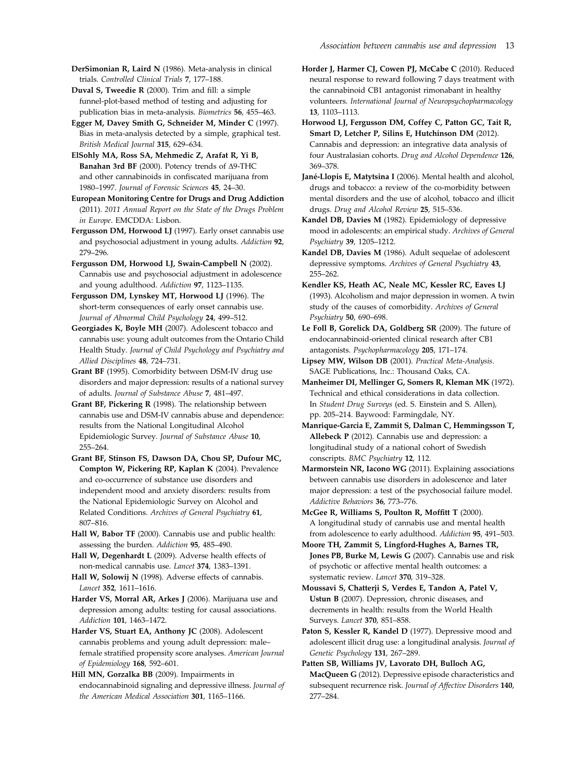<span id="page-13-0"></span>DerSimonian R, Laird N (1986). Meta-analysis in clinical trials. Controlled Clinical Trials 7, 177–188.

Duval S, Tweedie R (2000). Trim and fill: a simple funnel-plot-based method of testing and adjusting for publication bias in meta-analysis. Biometrics 56, 455–463.

Egger M, Davey Smith G, Schneider M, Minder C (1997). Bias in meta-analysis detected by a simple, graphical test. British Medical Journal 315, 629–634.

ElSohly MA, Ross SA, Mehmedic Z, Arafat R, Yi B, Banahan 3rd BF (2000). Potency trends of Δ9-THC and other cannabinoids in confiscated marijuana from 1980–1997. Journal of Forensic Sciences 45, 24–30.

European Monitoring Centre for Drugs and Drug Addiction (2011). 2011 Annual Report on the State of the Drugs Problem in Europe. EMCDDA: Lisbon.

Fergusson DM, Horwood LJ (1997). Early onset cannabis use and psychosocial adjustment in young adults. Addiction 92, 279–296.

Fergusson DM, Horwood LJ, Swain-Campbell N (2002). Cannabis use and psychosocial adjustment in adolescence and young adulthood. Addiction 97, 1123–1135.

Fergusson DM, Lynskey MT, Horwood LJ (1996). The short-term consequences of early onset cannabis use. Journal of Abnormal Child Psychology 24, 499–512.

Georgiades K, Boyle MH (2007). Adolescent tobacco and cannabis use: young adult outcomes from the Ontario Child Health Study. Journal of Child Psychology and Psychiatry and Allied Disciplines 48, 724–731.

Grant BF (1995). Comorbidity between DSM-IV drug use disorders and major depression: results of a national survey of adults. Journal of Substance Abuse 7, 481–497.

Grant BF, Pickering R (1998). The relationship between cannabis use and DSM-IV cannabis abuse and dependence: results from the National Longitudinal Alcohol Epidemiologic Survey. Journal of Substance Abuse 10, 255–264.

Grant BF, Stinson FS, Dawson DA, Chou SP, Dufour MC, Compton W, Pickering RP, Kaplan K (2004). Prevalence and co-occurrence of substance use disorders and independent mood and anxiety disorders: results from the National Epidemiologic Survey on Alcohol and Related Conditions. Archives of General Psychiatry 61, 807–816.

Hall W, Babor TF (2000). Cannabis use and public health: assessing the burden. Addiction 95, 485–490.

Hall W, Degenhardt L (2009). Adverse health effects of non-medical cannabis use. Lancet 374, 1383–1391.

Hall W, Solowij N (1998). Adverse effects of cannabis. Lancet 352, 1611–1616.

Harder VS, Morral AR, Arkes J (2006). Marijuana use and depression among adults: testing for causal associations. Addiction 101, 1463–1472.

Harder VS, Stuart EA, Anthony JC (2008). Adolescent cannabis problems and young adult depression: male– female stratified propensity score analyses. American Journal of Epidemiology 168, 592–601.

Hill MN, Gorzalka BB (2009). Impairments in endocannabinoid signaling and depressive illness. Journal of the American Medical Association 301, 1165–1166.

Horder J, Harmer CJ, Cowen PJ, McCabe C (2010). Reduced neural response to reward following 7 days treatment with the cannabinoid CB1 antagonist rimonabant in healthy volunteers. International Journal of Neuropsychopharmacology 13, 1103–1113.

Horwood LJ, Fergusson DM, Coffey C, Patton GC, Tait R, Smart D, Letcher P, Silins E, Hutchinson DM (2012). Cannabis and depression: an integrative data analysis of four Australasian cohorts. Drug and Alcohol Dependence 126, 369–378.

Jané-Llopis E, Matytsina I (2006). Mental health and alcohol, drugs and tobacco: a review of the co-morbidity between mental disorders and the use of alcohol, tobacco and illicit drugs. Drug and Alcohol Review 25, 515–536.

Kandel DB, Davies M (1982). Epidemiology of depressive mood in adolescents: an empirical study. Archives of General Psychiatry 39, 1205–1212.

Kandel DB, Davies M (1986). Adult sequelae of adolescent depressive symptoms. Archives of General Psychiatry 43, 255–262.

Kendler KS, Heath AC, Neale MC, Kessler RC, Eaves LJ (1993). Alcoholism and major depression in women. A twin study of the causes of comorbidity. Archives of General Psychiatry 50, 690–698.

Le Foll B, Gorelick DA, Goldberg SR (2009). The future of endocannabinoid-oriented clinical research after CB1 antagonists. Psychopharmacology 205, 171–174.

Lipsey MW, Wilson DB (2001). Practical Meta-Analysis. SAGE Publications, Inc.: Thousand Oaks, CA.

Manheimer DI, Mellinger G, Somers R, Kleman MK (1972). Technical and ethical considerations in data collection. In Student Drug Surveys (ed. S. Einstein and S. Allen), pp. 205–214. Baywood: Farmingdale, NY.

Manrique-Garcia E, Zammit S, Dalman C, Hemmingsson T, Allebeck P (2012). Cannabis use and depression: a longitudinal study of a national cohort of Swedish conscripts. BMC Psychiatry 12, 112.

Marmorstein NR, Iacono WG (2011). Explaining associations between cannabis use disorders in adolescence and later major depression: a test of the psychosocial failure model. Addictive Behaviors 36, 773–776.

McGee R, Williams S, Poulton R, Moffitt T (2000). A longitudinal study of cannabis use and mental health from adolescence to early adulthood. Addiction 95, 491–503.

Moore TH, Zammit S, Lingford-Hughes A, Barnes TR, Jones PB, Burke M, Lewis G (2007). Cannabis use and risk of psychotic or affective mental health outcomes: a systematic review. Lancet 370, 319–328.

Moussavi S, Chatterji S, Verdes E, Tandon A, Patel V, Ustun B (2007). Depression, chronic diseases, and decrements in health: results from the World Health Surveys. Lancet 370, 851–858.

Paton S, Kessler R, Kandel D (1977). Depressive mood and adolescent illicit drug use: a longitudinal analysis. Journal of Genetic Psychology 131, 267–289.

Patten SB, Williams JV, Lavorato DH, Bulloch AG, MacQueen G (2012). Depressive episode characteristics and subsequent recurrence risk. Journal of Affective Disorders 140, 277–284.